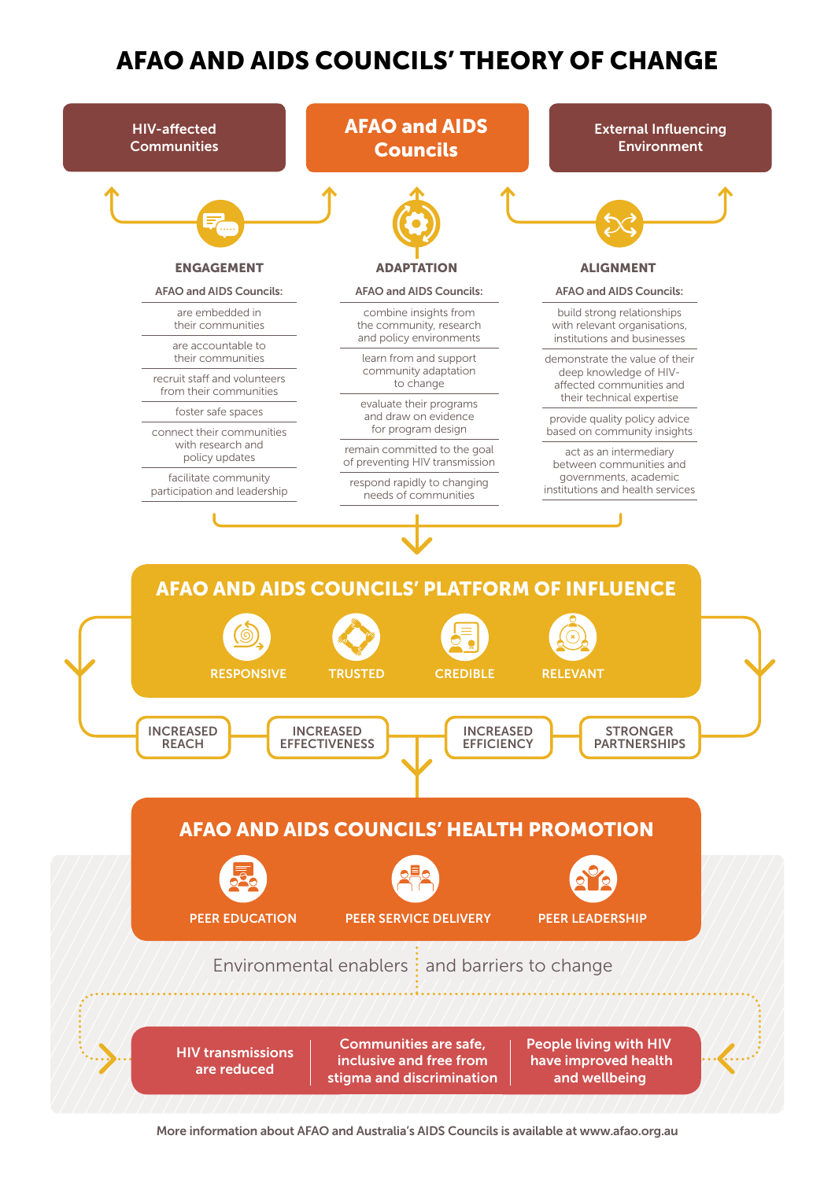## AFAO AND AIDS COUNCILS' THEORY OF CHANGE



More information about AFAO and Australia's AIDS Councils is available at www.afao.org.au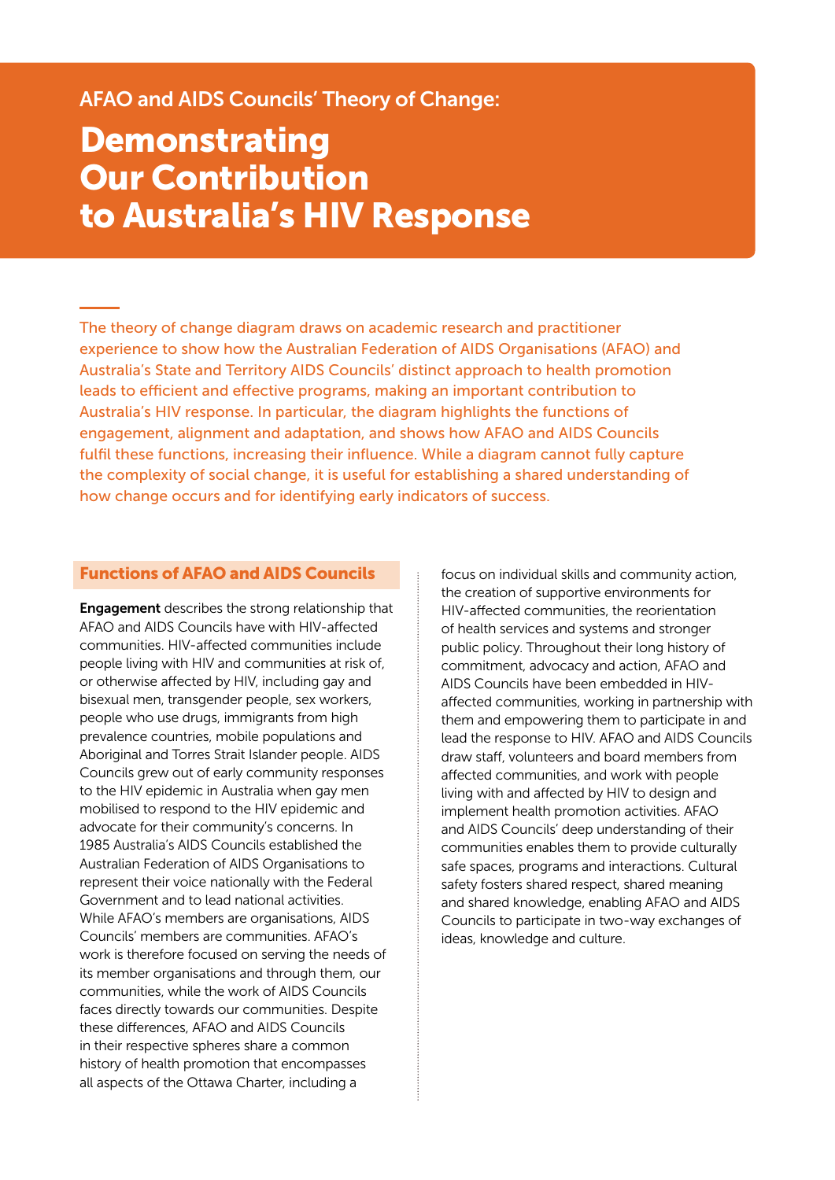### AFAO and AIDS Councils' Theory of Change:

# **Demonstrating** Our Contribution to Australia's HIV Response

The theory of change diagram draws on academic research and practitioner experience to show how the Australian Federation of AIDS Organisations (AFAO) and Australia's State and Territory AIDS Councils' distinct approach to health promotion leads to efficient and effective programs, making an important contribution to Australia's HIV response. In particular, the diagram highlights the functions of engagement, alignment and adaptation, and shows how AFAO and AIDS Councils fulfil these functions, increasing their influence. While a diagram cannot fully capture the complexity of social change, it is useful for establishing a shared understanding of how change occurs and for identifying early indicators of success.

#### Functions of AFAO and AIDS Councils

**Engagement** describes the strong relationship that AFAO and AIDS Councils have with HIV-affected communities. HIV-affected communities include people living with HIV and communities at risk of, or otherwise affected by HIV, including gay and bisexual men, transgender people, sex workers, people who use drugs, immigrants from high prevalence countries, mobile populations and Aboriginal and Torres Strait Islander people. AIDS Councils grew out of early community responses to the HIV epidemic in Australia when gay men mobilised to respond to the HIV epidemic and advocate for their community's concerns. In 1985 Australia's AIDS Councils established the Australian Federation of AIDS Organisations to represent their voice nationally with the Federal Government and to lead national activities. While AFAO's members are organisations, AIDS Councils' members are communities. AFAO's work is therefore focused on serving the needs of its member organisations and through them, our communities, while the work of AIDS Councils faces directly towards our communities. Despite these differences, AFAO and AIDS Councils in their respective spheres share a common history of health promotion that encompasses all aspects of the Ottawa Charter, including a

focus on individual skills and community action, the creation of supportive environments for HIV-affected communities, the reorientation of health services and systems and stronger public policy. Throughout their long history of commitment, advocacy and action, AFAO and AIDS Councils have been embedded in HIVaffected communities, working in partnership with them and empowering them to participate in and lead the response to HIV. AFAO and AIDS Councils draw staff, volunteers and board members from affected communities, and work with people living with and affected by HIV to design and implement health promotion activities. AFAO and AIDS Councils' deep understanding of their communities enables them to provide culturally safe spaces, programs and interactions. Cultural safety fosters shared respect, shared meaning and shared knowledge, enabling AFAO and AIDS Councils to participate in two-way exchanges of ideas, knowledge and culture.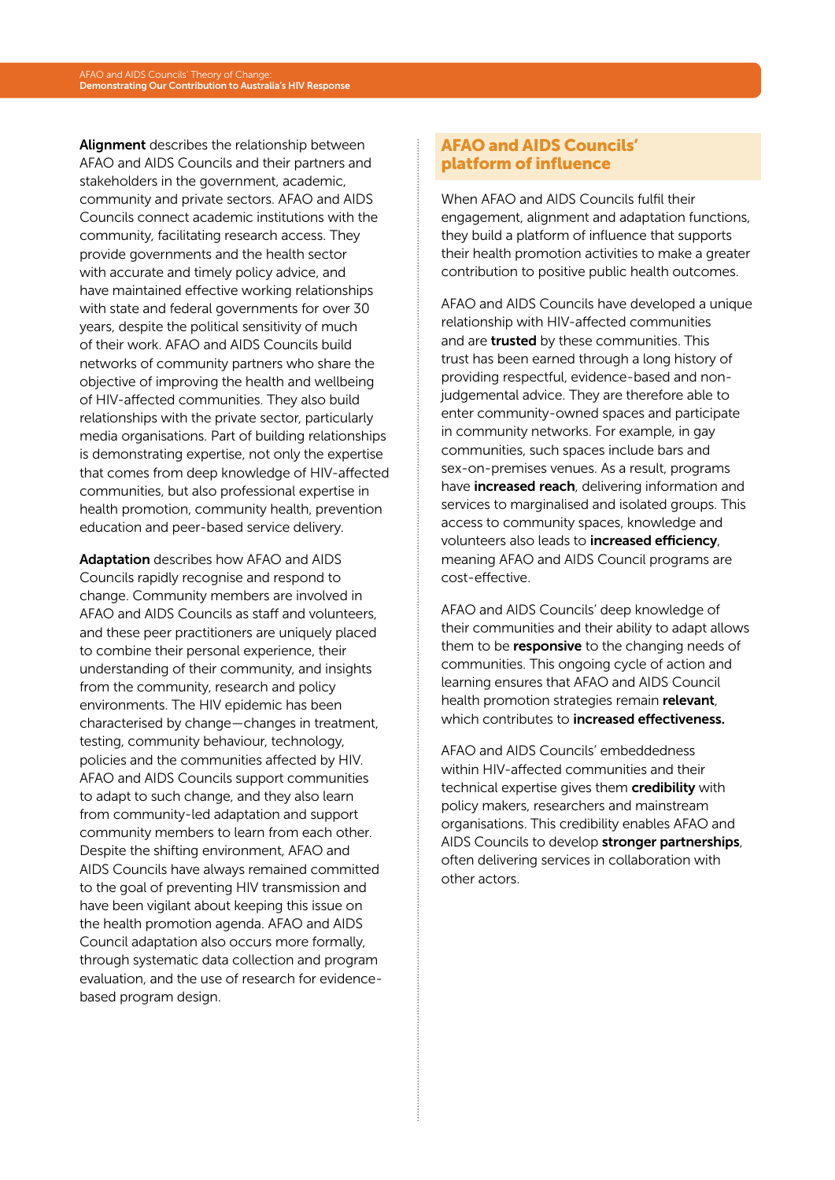Alignment describes the relationship between AFAO and AIDS Councils and their partners and stakeholders in the government, academic, community and private sectors. AFAO and AIDS Councils connect academic institutions with the community, facilitating research access. They provide governments and the health sector with accurate and timely policy advice, and have maintained effective working relationships with state and federal governments for over 30 years, despite the political sensitivity of much of their work. AFAO and AIDS Councils build networks of community partners who share the objective of improving the health and wellbeing of HIV-affected communities. They also build relationships with the private sector, particularly media organisations. Part of building relationships is demonstrating expertise, not only the expertise that comes from deep knowledge of HIV-affected communities, but also professional expertise in health promotion, community health, prevention education and peer-based service delivery.

Adaptation describes how AFAO and AIDS Councils rapidly recognise and respond to change. Community members are involved in AFAO and AIDS Councils as staff and volunteers, and these peer practitioners are uniquely placed to combine their personal experience, their understanding of their community, and insights from the community, research and policy environments. The HIV epidemic has been characterised by change—changes in treatment, testing, community behaviour, technology, policies and the communities affected by HIV. AFAO and AIDS Councils support communities to adapt to such change, and they also learn from community-led adaptation and support community members to learn from each other. Despite the shifting environment, AFAO and AIDS Councils have always remained committed to the goal of preventing HIV transmission and have been vigilant about keeping this issue on the health promotion agenda. AFAO and AIDS Council adaptation also occurs more formally, through systematic data collection and program evaluation, and the use of research for evidencebased program design.

#### AFAO and AIDS Councils' platform of influence

When AFAO and AIDS Councils fulfil their engagement, alignment and adaptation functions, they build a platform of influence that supports their health promotion activities to make a greater contribution to positive public health outcomes.

AFAO and AIDS Councils have developed a unique relationship with HIV-affected communities and are **trusted** by these communities. This trust has been earned through a long history of providing respectful, evidence-based and nonjudgemental advice. They are therefore able to enter community-owned spaces and participate in community networks. For example, in gay communities, such spaces include bars and sex-on-premises venues. As a result, programs have **increased reach**, delivering information and services to marginalised and isolated groups. This access to community spaces, knowledge and volunteers also leads to increased efficiency, meaning AFAO and AIDS Council programs are cost-effective.

AFAO and AIDS Councils' deep knowledge of their communities and their ability to adapt allows them to be **responsive** to the changing needs of communities. This ongoing cycle of action and learning ensures that AFAO and AIDS Council health promotion strategies remain relevant, which contributes to **increased effectiveness**.

AFAO and AIDS Councils' embeddedness within HIV-affected communities and their technical expertise gives them credibility with policy makers, researchers and mainstream organisations. This credibility enables AFAO and AIDS Councils to develop stronger partnerships, often delivering services in collaboration with other actors.